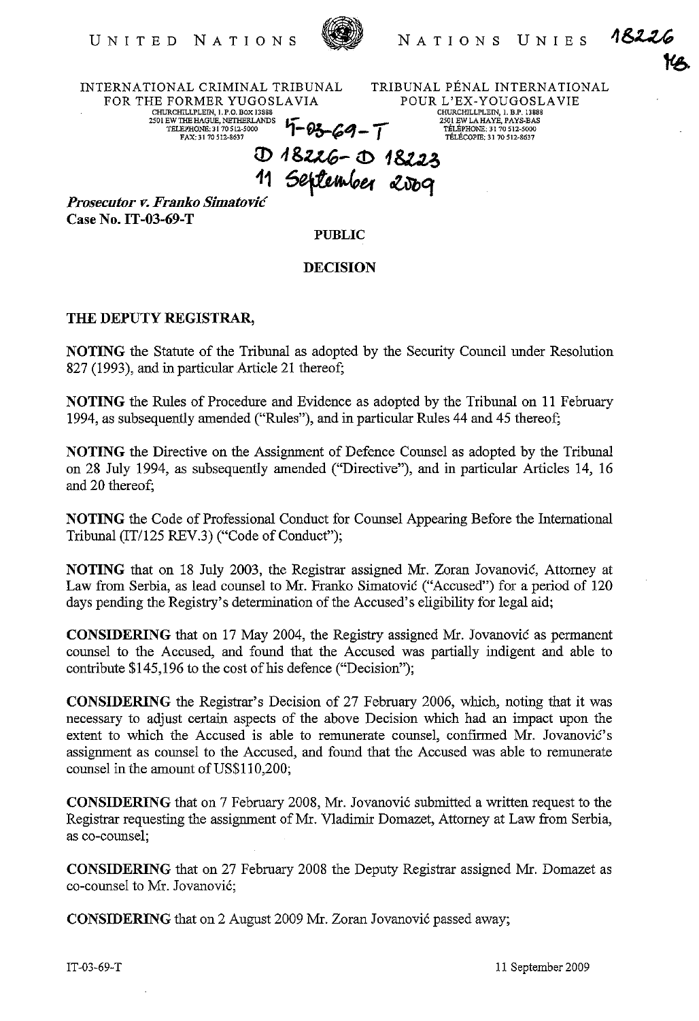

NATIONS UNIES

1822

INTERNATIONAL CRIMINAL TRIBUNAL FOR THE FORMER YUGOSLAVIA **CHURCHILLPLEIN", i.P.D.BOx 13888**  2501 EWTHEHAGUE,NETHERLANDS **h TELEPHONE; NETHERLANDS**  $\overline{Y}$  **- 03 - 64 - T** 

TRIBUNAL PENAL INTERNATIONAL POUR L'EX-YOUGOSLA VIE **CHURCHILLPLEIN, 1. B.P. 13888 2501 EWLAHAYE, PAYS-BAS TELEPHONE; 3170 512-5000 TELECOPIE; 31 70512-8637** 

(l) **"&.t.tG-** ~ 1 &t.u,

**<sup>11</sup>**~"""er ~q *Prosecutor v. Franko Simatone*  **Case No. IT-03-69-T** 

**PUBLIC** 

## **DECISION**

## **THE DEPUTY REGISTRAR,**

**NOTING** the Statute of the Tribunal as adopted by the Security Council under Resolution 827 (1993), and in particular Article 21 thereof;

**NOTING** the Rules of Procedure and Evidence as adopted by the Tribunal on 11 February 1994, as subsequently amended ("Rules"), and in particular Rules 44 and 45 thereof;

**NOTING** the Directive on the Assignment of Defence Counsel as adopted by the Tribunal on 28 July 1994, as subsequently amended ("Directive"), and in particular Articles 14, 16 and 20 thereof;

**NOTING** the Code of Professional Conduct for Counsel Appearing Before the International Tribunal (IT/125 REV.3) ("Code of Conduct");

**NOTING** that on 18 July 2003, the Registrar assigned Mr. Zoran Jovanovic, Attorney at Law from Serbia, as lead counsel to Mr. Franko Simatovic ("Accused") for a period of 120 days pending the Registry's determination of the Accused's eligibility for legal aid;

**CONSIDERING** that on 17 May 2004, the Registry assigned Mr. Jovanovic as permanent counsel to the Accused, and found that the Accused was partially indigent and able to contribute \$145,196 to the cost of his defence ("Decision");

**CONSIDERING** the Registrar's Decision of 27 February 2006, which, noting that it was necessary to adjust certain aspects of the above Decision which had an impact upon the extent to which the Accused is able to remunerate counsel, confirmed Mr. Jovanović's assignment as counsel to the Accused, and found that the Accused was able to remunerate counsel in the amount of US\$110,200;

**CONSIDERING** that on 7 February 2008, Mr. Jovanovic submitted a written request to the Registrar requesting the assignment of Mr. Vladimir Domazet, Attorney at Law from Serbia, as co-counsel;

**CONSIDERING** that on 27 February 2008 the Deputy Registrar assigned Mr. Domazet as co-counsel to Mr. Jovanovic;

**CONSIDERING** that on 2 August 2009 Mr. Zoran Jovanovic passed away;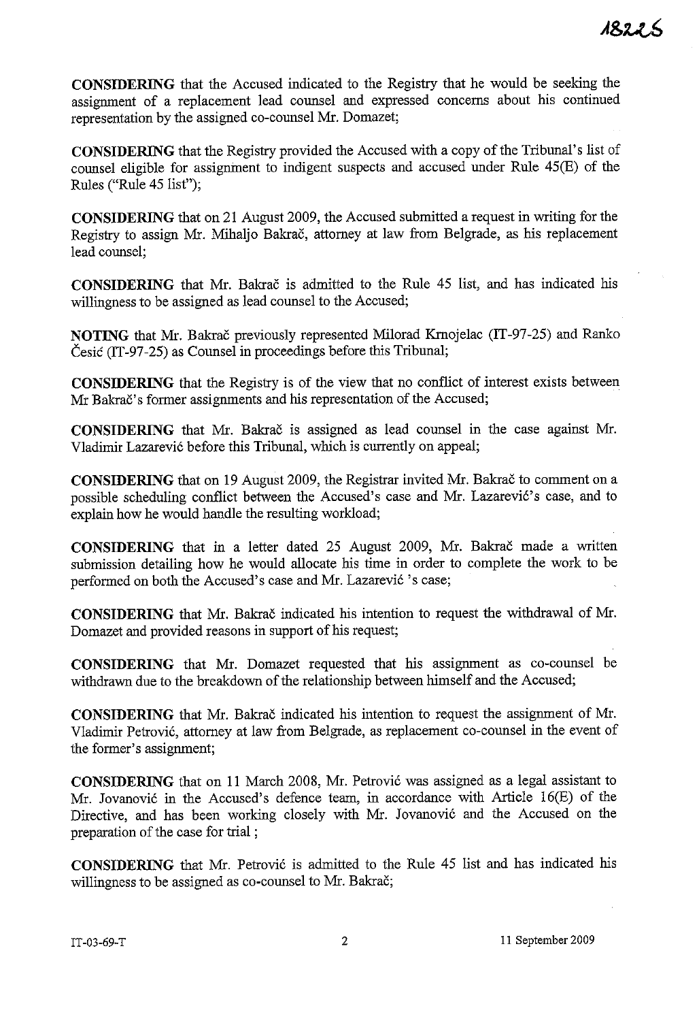**CONSIDERING** that the Accused indicated to the Registry that he would be seeking the assignment of a replacement lead counsel and expressed concerns about his continued representation by the assigned co-counsel Mr. Domazet;

**CONSIDERING** that the Registry provided the Accused with a copy of the Tribunal's list of counsel eligible for assignment to indigent suspects and accused under Rule 45(E) of the Rules ("Rule 45 list");

**CONSIDERING** that on 21 August 2009, the Accused submitted a request in writing for the Registry to assign Mr. Mihaljo Bakrac, attorney at law from Belgrade, as his replacement lead counsel;

**CONSIDERING** that Mr. Bakrac is admitted to the Rule 45 list, and has indicated his willingness to be assigned as lead counsel to the Accused;

**NOTING** that Mr. Bakrač previously represented Milorad Krnojelac (IT-97-25) and Ranko Cesic (IT-97-25) as Counsel in proceedings before this Tribunal;

**CONSIDERING** that the Registry is of the view that no conflict of interest exists between Mr Bakrač's former assignments and his representation of the Accused;

**CONSIDERING** that Mr. Bakrac is assigned as lead counsel in the case against Mr. Vladimir Lazarević before this Tribunal, which is currently on appeal;

**CONSIDERING** that on 19 August 2009, the Registrar invited Mr. Bakrac to comment on a possible scheduling conflict between the Accused's case and Mr. Lazarevic's case, and to explain how he would handle the resulting workload;

**CONSIDERING** that in a letter dated 25 August 2009, Mr. Bakrac made a written submission detailing how he would allocate his time in order to complete the work to be performed on both the Accused's case and Mr. Lazarevic 's case;

**CONSIDERING** that Mr. Bakrac indicated his intention to request the withdrawal of Mr. Domazet and provided reasons in support of his request;

**CONSIDERING** that Mr. Domazet requested that his assignment as co-counsel be withdrawn due to the breakdown of the relationship between himself and the Accused;

**CONSIDERING** that Mr. Bakrac indicated his intention to request the assignment of Mr. Vladimir Petrovic, attorney at law from Belgrade, as replacement co-counsel in the event of the former's assignment;

**CONSIDERING** that on 11 March 2008, Mr. Petrovic was assigned as a legal assistant to Mr. Jovanovic in the Accused's defence team, in accordance with Article 16(E) of the Directive, and has been working closely with Mr. Jovanovic and the Accused on the preparation of the case for trial ;

**CONSIDERING** that Mr. Petrovic is admitted to the Rille 45 list and has indicated his willingness to be assigned as co-counsel to Mr. Bakrač;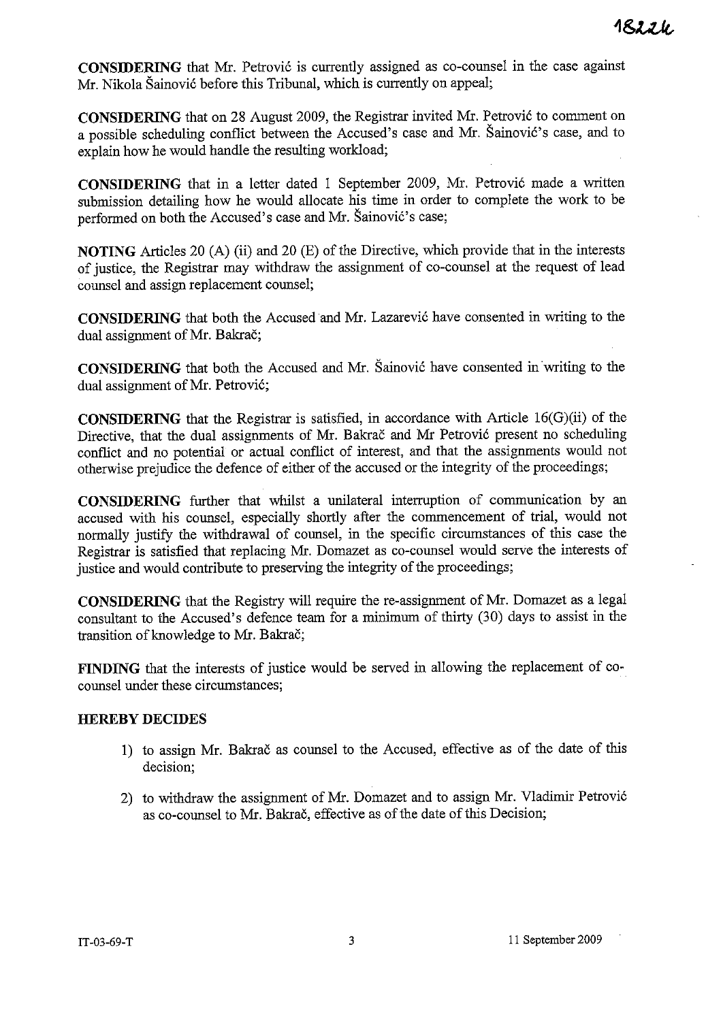**CONSIDERING** that Mr. Petrovic is currently assigned as co-counsel in the case against Mr. Nikola Sainovic before this Tribunal, which is currently on appeal;

**CONSIDERING** that on 28 August 2009, the Registrar invited Mr. Petrovic to comment on a possible scheduling conflict between the Accused's case and Mr. Sainovic's case, and to explain how he would handle the resulting workload;

**CONSIDERING** that in a letter dated I September 2009, Mr. Petrovic made a written submission detailing how he would allocate his time in order to complete the work to be performed on both the Accused's case and Mr. Sainovic's case;

**NOTING** Articles 20 (A) (ii) and 20 (E) of the Directive, which provide that in the interests of justice, the Registrar may withdraw the assignment of co-counsel at the request of lead counsel and assign replacement counsel;

**CONSIDERING** that both the Accused and Mr. Lazarevic have consented in writing to the dual assignment of Mr. Bakrač;

**CONSIDERING** that both the Accused and Mr. Sainovic have consented in writing to the dual assignment of Mr. Petrovic;

**CONSIDERING** that the Registrar is satisfied, in accordance with Article 16(G)(ii) of the Directive, that the dual assignments of Mr. Bakrač and Mr Petrović present no scheduling conflict and no potential or actual conflict of interest, and that the assignments would not otherwise prejudice the defence of either of the accused or the integrity of the proceedings;

**CONSIDERING** further that whilst a unilateral interruption of communication by an accused with his counsel, especially shortly after the commencement of trial, would not normally justify the withdrawal of counsel, in the specific circumstances of this case the Registrar is satisfied that replacing Mr. Domazet as co-counsel would serve the interests of justice and would contribute to preserving the integrity of the proceedings;

**CONSIDERING** that the Registry will require the re-assignment of Mr. Domazet as a legal consultant to the Accused's defence team for a minimum of thirty (30) days to assist in the transition of knowledge to Mr. Bakrač;

**FINDING** that the interests of justice would be served in allowing the replacement of cocounsel under these circumstances;

## **HEREBY DECIDES**

- I) to assign Mr. Bakrac as counsel to the Accused, effective as of the date of this decision;
- 2) to withdraw the assignment of Mr. Domazet and to assign Mr. Vladimir Petrovic as co-counsel to Mr. Bakrac, effective as of the date of this Decision;